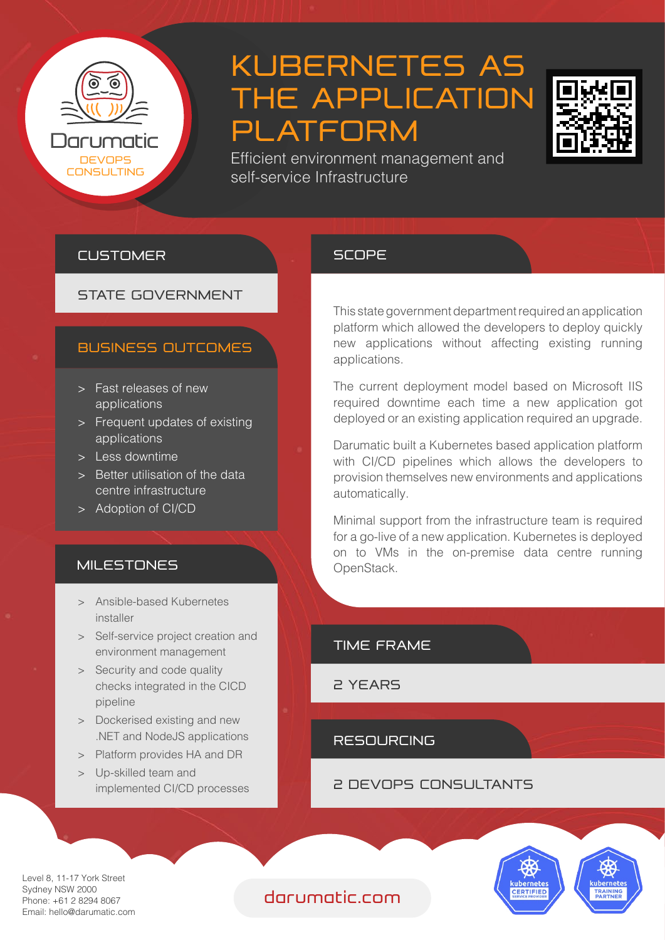

# KUBERNETES AS THE APPLICATION PLATFORM



Efficient environment management and self-service Infrastructure

#### CUSTOMER

## STATE GOVERNMENT

#### BUSINESS OUTCOMES

- > Fast releases of new applications
- > Frequent updates of existing applications
- > Less downtime
- > Better utilisation of the data centre infrastructure
- > Adoption of CI/CD

#### **MILESTONES**

- > Ansible-based Kubernetes installer
- > Self-service project creation and environment management
- > Security and code quality checks integrated in the CICD pipeline
- > Dockerised existing and new .NET and NodeJS applications
- > Platform provides HA and DR
- > Up-skilled team and implemented CI/CD processes

#### **SCOPE**

This state government department required an application platform which allowed the developers to deploy quickly new applications without affecting existing running applications.

The current deployment model based on Microsoft IIS required downtime each time a new application got deployed or an existing application required an upgrade.

Darumatic built a Kubernetes based application platform with CI/CD pipelines which allows the developers to provision themselves new environments and applications automatically.

Minimal support from the infrastructure team is required for a go-live of a new application. Kubernetes is deployed on to VMs in the on-premise data centre running OpenStack.



2 YEARS

RESOURCING

2 DEVOPS CONSULTANTS



Level 8, 11-17 York Street Sydney NSW 2000 Phone: +61 2 8294 8067 Email: hello@darumatic.com

### darumatic.com